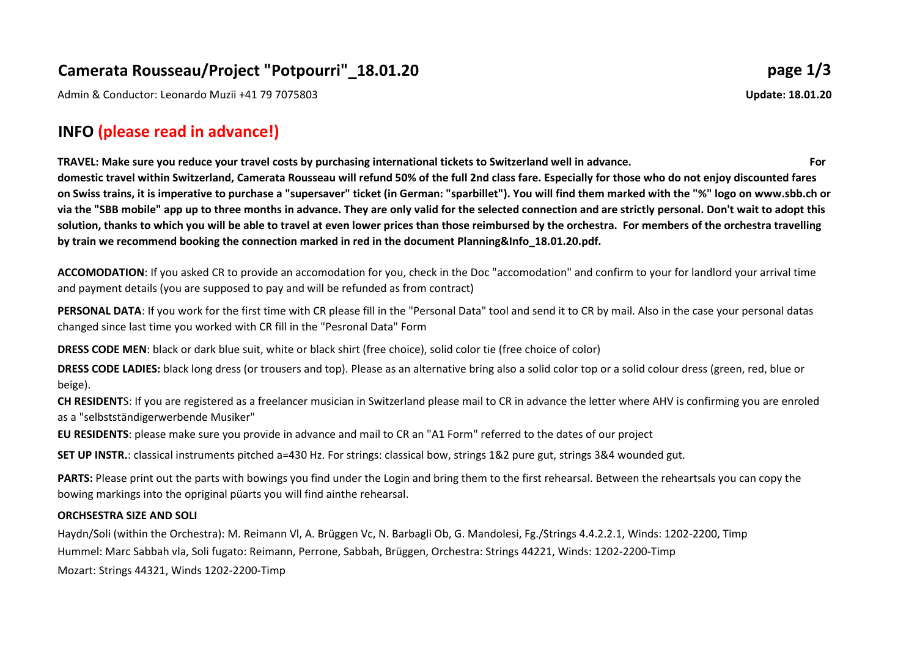# **Camerata Rousseau/Project "Potpourri"\_18.01.20**

Admin & Conductor: Leonardo Muzii +41 79 7075803 **Update: 18.01.20**

### **INFO (please read in advance!)**

**TRAVEL: Make sure you reduce your travel costs by purchasing international tickets to Switzerland well in advance. For domestic travel within Switzerland, Camerata Rousseau will refund 50% of the full 2nd class fare. Especially for those who do not enjoy discounted fares on Swiss trains, it is imperative to purchase a "supersaver" ticket (in German: "sparbillet"). You will find them marked with the "%" logo on www.sbb.ch or via the "SBB mobile" app up to three months in advance. They are only valid for the selected connection and are strictly personal. Don't wait to adopt this solution, thanks to which you will be able to travel at even lower prices than those reimbursed by the orchestra. For members of the orchestra travelling by train we recommend booking the connection marked in red in the document Planning&Info\_18.01.20.pdf.**

**ACCOMODATION**: If you asked CR to provide an accomodation for you, check in the Doc "accomodation" and confirm to your for landlord your arrival time and payment details (you are supposed to pay and will be refunded as from contract)

**PERSONAL DATA**: If you work for the first time with CR please fill in the "Personal Data" tool and send it to CR by mail. Also in the case your personal datas changed since last time you worked with CR fill in the "Pesronal Data" Form

**DRESS CODE MEN**: black or dark blue suit, white or black shirt (free choice), solid color tie (free choice of color)

**DRESS CODE LADIES:** black long dress (or trousers and top). Please as an alternative bring also a solid color top or a solid colour dress (green, red, blue or beige).

**CH RESIDENT**S: If you are registered as a freelancer musician in Switzerland please mail to CR in advance the letter where AHV is confirming you are enroled as a "selbstständigerwerbende Musiker"

**EU RESIDENTS**: please make sure you provide in advance and mail to CR an "A1 Form" referred to the dates of our project

**SET UP INSTR.**: classical instruments pitched a=430 Hz. For strings: classical bow, strings 1&2 pure gut, strings 3&4 wounded gut.

PARTS: Please print out the parts with bowings you find under the Login and bring them to the first rehearsal. Between the reheartsals you can copy the bowing markings into the opriginal püarts you will find ainthe rehearsal.

#### **ORCHSESTRA SIZE AND SOLI**

Mozart: Strings 44321, Winds 1202-2200-Timp Hummel: Marc Sabbah vla, Soli fugato: Reimann, Perrone, Sabbah, Brüggen, Orchestra: Strings 44221, Winds: 1202-2200-Timp Haydn/Soli (within the Orchestra): M. Reimann Vl, A. Brüggen Vc, N. Barbagli Ob, G. Mandolesi, Fg./Strings 4.4.2.2.1, Winds: 1202-2200, Timp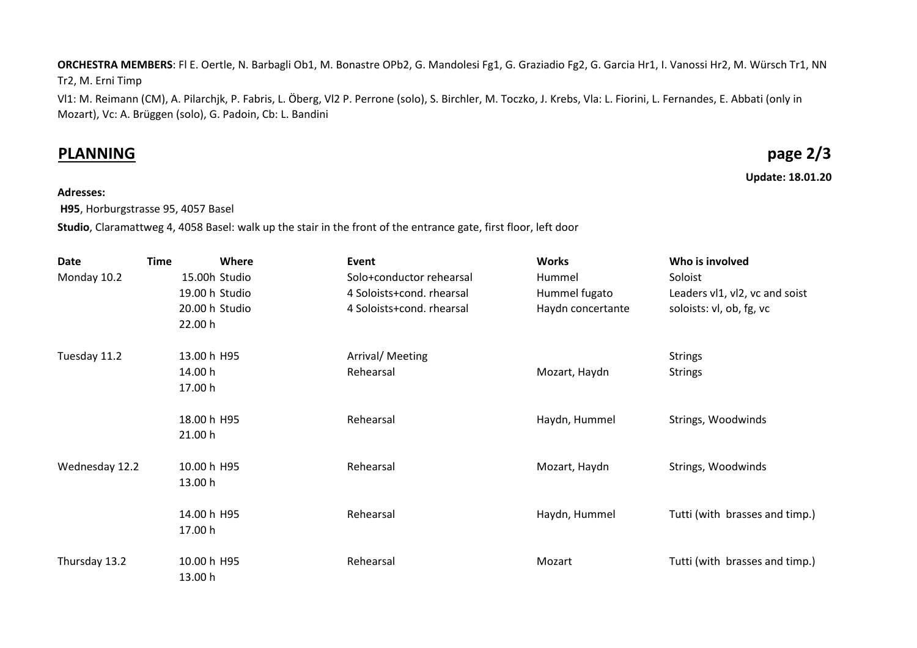**ORCHESTRA MEMBERS**: Fl E. Oertle, N. Barbagli Ob1, M. Bonastre OPb2, G. Mandolesi Fg1, G. Graziadio Fg2, G. Garcia Hr1, I. Vanossi Hr2, M. Würsch Tr1, NN Tr2, M. Erni Timp

Vl1: M. Reimann (CM), A. Pilarchjk, P. Fabris, L. Öberg, Vl2 P. Perrone (solo), S. Birchler, M. Toczko, J. Krebs, Vla: L. Fiorini, L. Fernandes, E. Abbati (only in Mozart), Vc: A. Brüggen (solo), G. Padoin, Cb: L. Bandini

## **PLANNING page 2/3**

### **Adresses:**

**Update: 18.01.20**

 **H95**, Horburgstrasse 95, 4057 Basel

**Studio**, Claramattweg 4, 4058 Basel: walk up the stair in the front of the entrance gate, first floor, left door

| <b>Date</b>    | <b>Time</b> | Where          | Event                     | <b>Works</b>      | Who is involved                |
|----------------|-------------|----------------|---------------------------|-------------------|--------------------------------|
| Monday 10.2    |             | 15.00h Studio  | Solo+conductor rehearsal  | Hummel            | Soloist                        |
|                |             | 19.00 h Studio | 4 Soloists+cond. rhearsal | Hummel fugato     | Leaders vl1, vl2, vc and soist |
|                |             | 20.00 h Studio | 4 Soloists+cond. rhearsal | Haydn concertante | soloists: vl, ob, fg, vc       |
|                |             | 22.00 h        |                           |                   |                                |
| Tuesday 11.2   |             | 13.00 h H95    | Arrival/ Meeting          |                   | <b>Strings</b>                 |
|                |             | 14.00 h        | Rehearsal                 | Mozart, Haydn     | <b>Strings</b>                 |
|                |             | 17.00 h        |                           |                   |                                |
|                |             | 18.00 h H95    | Rehearsal                 | Haydn, Hummel     | Strings, Woodwinds             |
|                |             | 21.00 h        |                           |                   |                                |
| Wednesday 12.2 |             | 10.00 h H95    | Rehearsal                 | Mozart, Haydn     | Strings, Woodwinds             |
|                |             | 13.00 h        |                           |                   |                                |
|                |             | 14.00 h H95    | Rehearsal                 | Haydn, Hummel     | Tutti (with brasses and timp.) |
|                |             | 17.00 h        |                           |                   |                                |
| Thursday 13.2  |             | 10.00 h H95    | Rehearsal                 | Mozart            | Tutti (with brasses and timp.) |
|                |             | 13.00 h        |                           |                   |                                |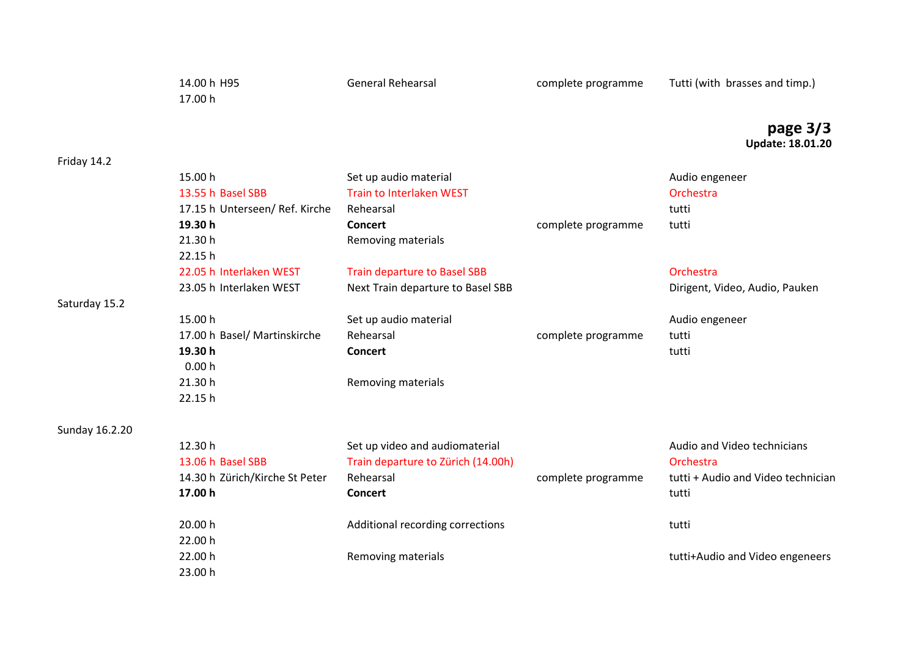|                | 14.00 h H95<br>17.00 h         | <b>General Rehearsal</b>            | complete programme | Tutti (with brasses and timp.)        |
|----------------|--------------------------------|-------------------------------------|--------------------|---------------------------------------|
|                |                                |                                     |                    | page $3/3$<br><b>Update: 18.01.20</b> |
| Friday 14.2    |                                |                                     |                    |                                       |
|                | 15.00 h                        | Set up audio material               |                    | Audio engeneer                        |
|                | 13.55 h Basel SBB              | Train to Interlaken WEST            |                    | Orchestra                             |
|                | 17.15 h Unterseen/ Ref. Kirche | Rehearsal                           |                    | tutti                                 |
|                | 19.30h                         | <b>Concert</b>                      | complete programme | tutti                                 |
|                | 21.30h                         | Removing materials                  |                    |                                       |
|                | 22.15h                         |                                     |                    |                                       |
|                | 22.05 h Interlaken WEST        | <b>Train departure to Basel SBB</b> |                    | Orchestra                             |
|                | 23.05 h Interlaken WEST        | Next Train departure to Basel SBB   |                    | Dirigent, Video, Audio, Pauken        |
| Saturday 15.2  |                                |                                     |                    |                                       |
|                | 15.00 h                        | Set up audio material               |                    | Audio engeneer                        |
|                | 17.00 h Basel/ Martinskirche   | Rehearsal                           | complete programme | tutti                                 |
|                | 19.30h                         | <b>Concert</b>                      |                    | tutti                                 |
|                | 0.00h                          |                                     |                    |                                       |
|                | 21.30 h                        | Removing materials                  |                    |                                       |
|                | 22.15 h                        |                                     |                    |                                       |
| Sunday 16.2.20 |                                |                                     |                    |                                       |
|                | 12.30 h                        | Set up video and audiomaterial      |                    | Audio and Video technicians           |
|                | 13.06 h Basel SBB              | Train departure to Zürich (14.00h)  |                    | Orchestra                             |
|                | 14.30 h Zürich/Kirche St Peter | Rehearsal                           | complete programme | tutti + Audio and Video technician    |
|                | 17.00 h                        | <b>Concert</b>                      |                    | tutti                                 |
|                | 20.00 h                        | Additional recording corrections    |                    | tutti                                 |
|                | 22.00 h                        |                                     |                    |                                       |
|                | 22.00 h                        | Removing materials                  |                    | tutti+Audio and Video engeneers       |
|                | 23.00 h                        |                                     |                    |                                       |